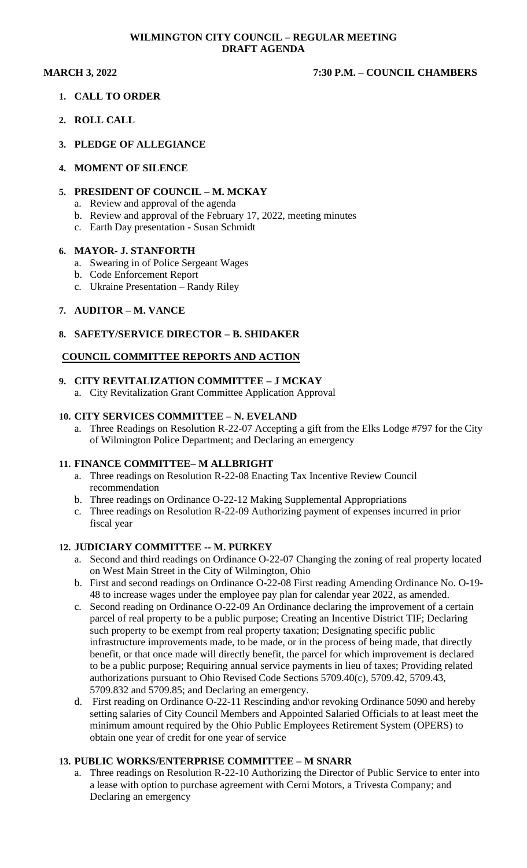### **WILMINGTON CITY COUNCIL – REGULAR MEETING DRAFT AGENDA**

### **MARCH 3, 2022 7:30 P.M. – COUNCIL CHAMBERS**

- **1. CALL TO ORDER**
- **2. ROLL CALL**
- **3. PLEDGE OF ALLEGIANCE**
- **4. MOMENT OF SILENCE**

### **5. PRESIDENT OF COUNCIL – M. MCKAY**

- a. Review and approval of the agenda
- b. Review and approval of the February 17, 2022, meeting minutes
- c. Earth Day presentation Susan Schmidt

### **6. MAYOR- J. STANFORTH**

- a. Swearing in of Police Sergeant Wages
- b. Code Enforcement Report
- c. Ukraine Presentation Randy Riley

### **7. AUDITOR – M. VANCE**

### **8. SAFETY/SERVICE DIRECTOR – B. SHIDAKER**

### **COUNCIL COMMITTEE REPORTS AND ACTION**

# **9. CITY REVITALIZATION COMMITTEE – J MCKAY**

a. City Revitalization Grant Committee Application Approval

### **10. CITY SERVICES COMMITTEE – N. EVELAND**

a. Three Readings on Resolution R-22-07 Accepting a gift from the Elks Lodge #797 for the City of Wilmington Police Department; and Declaring an emergency

### **11. FINANCE COMMITTEE– M ALLBRIGHT**

- a. Three readings on Resolution R-22-08 Enacting Tax Incentive Review Council recommendation
- b. Three readings on Ordinance O-22-12 Making Supplemental Appropriations
- c. Three readings on Resolution R-22-09 Authorizing payment of expenses incurred in prior fiscal year

### **12. JUDICIARY COMMITTEE -- M. PURKEY**

- a. Second and third readings on Ordinance O-22-07 Changing the zoning of real property located on West Main Street in the City of Wilmington, Ohio
- b. First and second readings on Ordinance O-22-08 First reading Amending Ordinance No. O-19- 48 to increase wages under the employee pay plan for calendar year 2022, as amended.
- c. Second reading on Ordinance O-22-09 An Ordinance declaring the improvement of a certain parcel of real property to be a public purpose; Creating an Incentive District TIF; Declaring such property to be exempt from real property taxation; Designating specific public infrastructure improvements made, to be made, or in the process of being made, that directly benefit, or that once made will directly benefit, the parcel for which improvement is declared to be a public purpose; Requiring annual service payments in lieu of taxes; Providing related authorizations pursuant to Ohio Revised Code Sections 5709.40(c), 5709.42, 5709.43, 5709.832 and 5709.85; and Declaring an emergency.
- d. First reading on Ordinance O-22-11 Rescinding and\or revoking Ordinance 5090 and hereby setting salaries of City Council Members and Appointed Salaried Officials to at least meet the minimum amount required by the Ohio Public Employees Retirement System (OPERS) to obtain one year of credit for one year of service

### **13. PUBLIC WORKS/ENTERPRISE COMMITTEE – M SNARR**

a. Three readings on Resolution R-22-10 Authorizing the Director of Public Service to enter into a lease with option to purchase agreement with Cerni Motors, a Trivesta Company; and Declaring an emergency